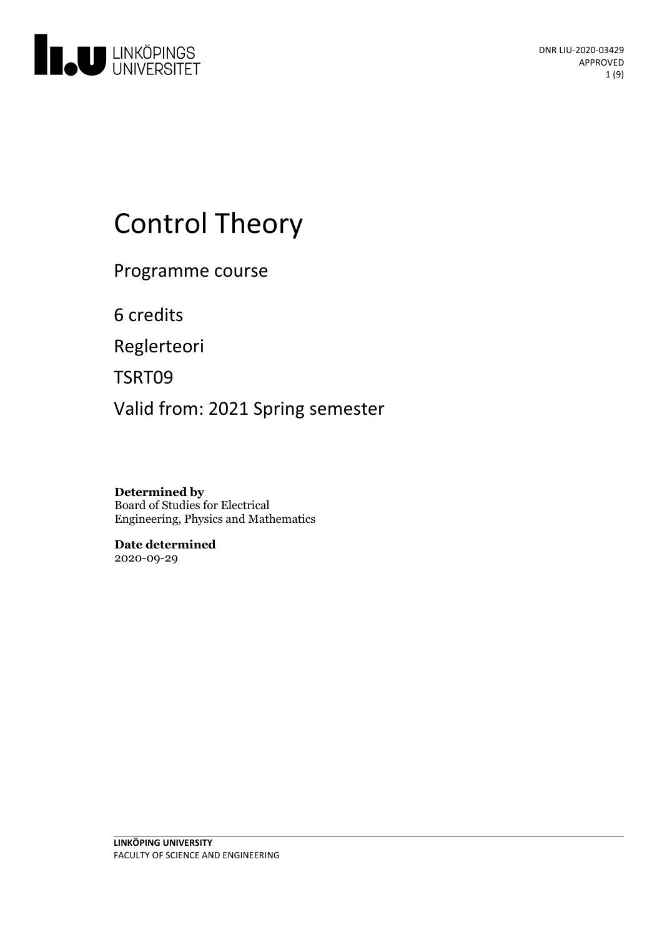

# **Control Theory**

Programme course

6 credits

Reglerteori

TSRT09

Valid from: 2021 Spring semester

**Determined by** Board of Studies for Electrical Engineering, Physics and Mathematics

**Date determined** 2020-09-29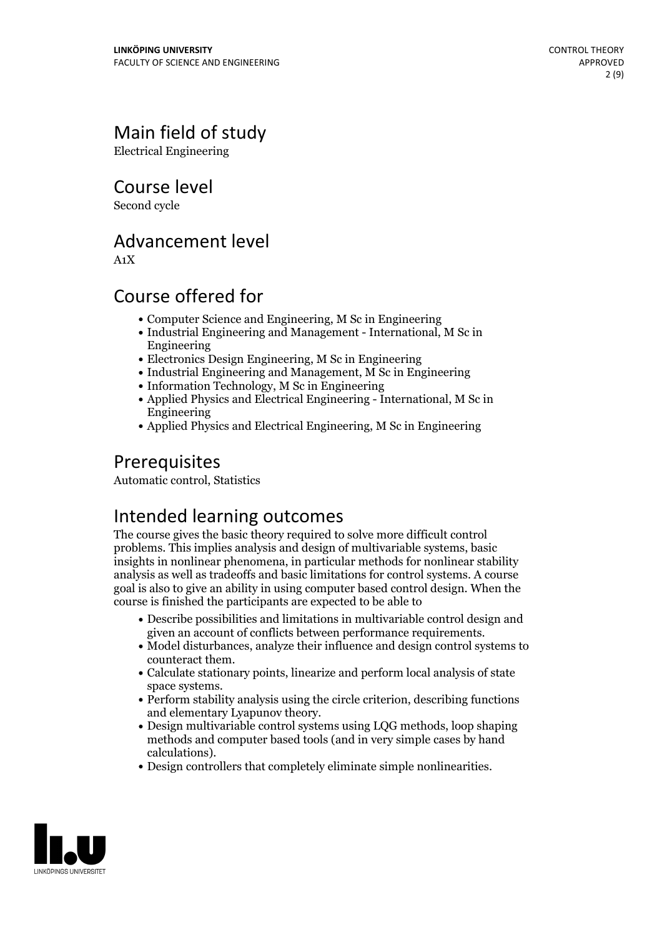## Main field of study

Electrical Engineering

Course level

Second cycle

## Advancement level

A1X

## Course offered for

- Computer Science and Engineering, M Sc in Engineering
- Industrial Engineering and Management International, M Sc in Engineering
- Electronics Design Engineering, M Sc in Engineering
- Industrial Engineering and Management, M Sc in Engineering
- Information Technology, M Sc in Engineering
- Applied Physics and Electrical Engineering International, M Sc in Engineering
- Applied Physics and Electrical Engineering, M Sc in Engineering

## Prerequisites

Automatic control, Statistics

## Intended learning outcomes

The course gives the basic theory required to solve more difficult control problems. This implies analysis and design of multivariable systems, basic insights in nonlinear phenomena, in particular methods for nonlinear stability analysis as well as tradeoffs and basic limitations for control systems. A course goal is also to give an ability in using computer based control design. When the course is finished the participants are expected to be able to

- Describe possibilities and limitations in multivariable control design and given an account of conflicts between performance requirements.<br>• Model disturbances, analyze their influence and design control systems to
- counteract them. Calculate stationary points, linearize and perform local analysis of state
- 
- space systems.<br>• Perform stability analysis using the circle criterion, describing functions<br>and elementary Lyapunov theory.
- $\bullet$  Design multivariable control systems using LQG methods, loop shaping methods and computer based tools (and in very simple cases by hand
- calculations).<br>• Design controllers that completely eliminate simple nonlinearities.

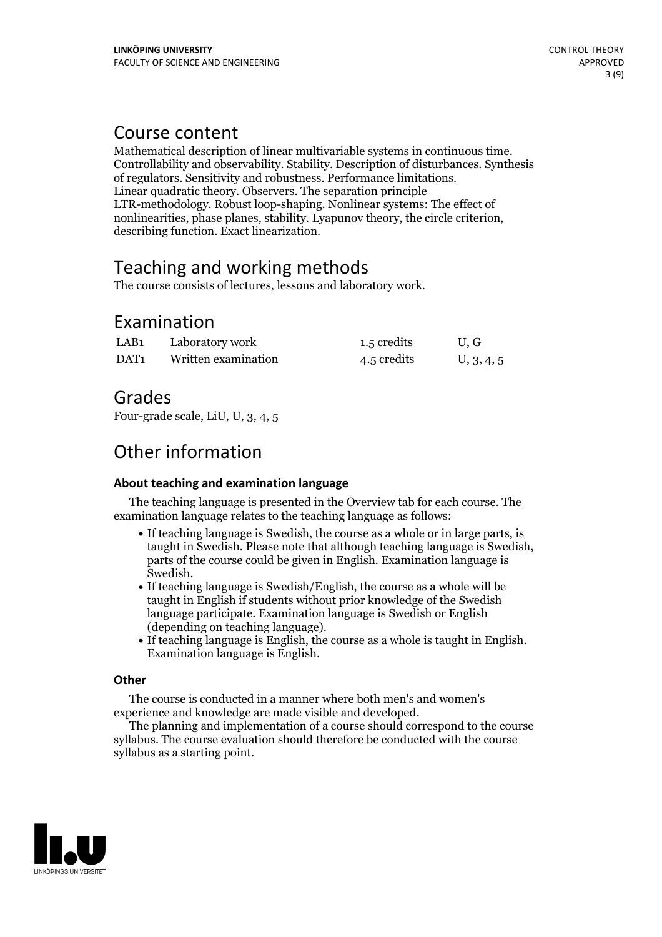## Course content

Mathematical description of linear multivariable systems in continuous time. Controllability and observability. Stability. Description of disturbances. Synthesis of regulators. Sensitivity and robustness. Performance limitations. Linear quadratic theory. Observers. The separation principle LTR-methodology. Robust loop-shaping. Nonlinear systems: The effect of nonlinearities, phase planes, stability. Lyapunov theory, the circle criterion, describing function. Exact linearization.

## Teaching and working methods

The course consists of lectures, lessons and laboratory work.

## Examination

| LAB <sub>1</sub> | Laboratory work     | 1.5 credits | U.G        |
|------------------|---------------------|-------------|------------|
| DAT1             | Written examination | 4.5 credits | U, 3, 4, 5 |

## Grades

Four-grade scale, LiU, U, 3, 4, 5

## Other information

#### **About teaching and examination language**

The teaching language is presented in the Overview tab for each course. The examination language relates to the teaching language as follows:

- If teaching language is Swedish, the course as a whole or in large parts, is taught in Swedish. Please note that although teaching language is Swedish, parts of the course could be given in English. Examination language is Swedish.<br>• If teaching language is Swedish/English, the course as a whole will be
- taught in English if students without prior knowledge of the Swedish language participate. Examination language is Swedish or English
- (depending on teaching language).<br>• If teaching language is English, the course as a whole is taught in English.<br>Examination language is English.

#### **Other**

The course is conducted in a manner where both men's and women's

The planning and implementation of a course should correspond to the course syllabus. The course evaluation should therefore be conducted with the course syllabus as a starting point.

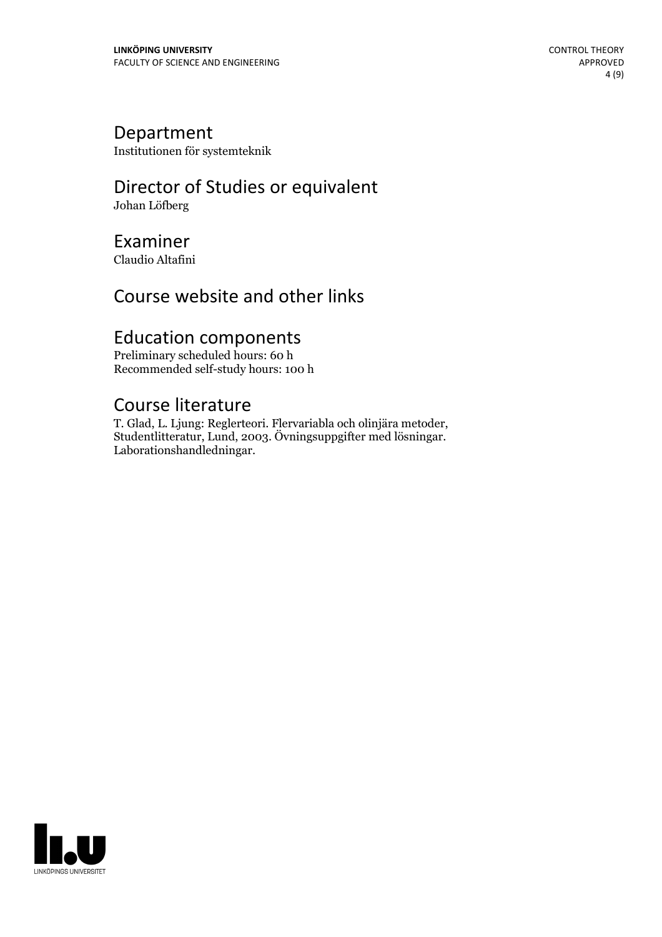### Department

Institutionen för systemteknik

## Director of Studies or equivalent

Johan Löfberg

## Examiner

Claudio Altafini

## Course website and other links

## Education components

Preliminary scheduled hours: 60 h Recommended self-study hours: 100 h

Course literature<br>T. Glad, L. Ljung: Reglerteori. Flervariabla och olinjära metoder, Studentlitteratur, Lund, 2003. Övningsuppgifter med lösningar.<br>Laborationshandledningar.

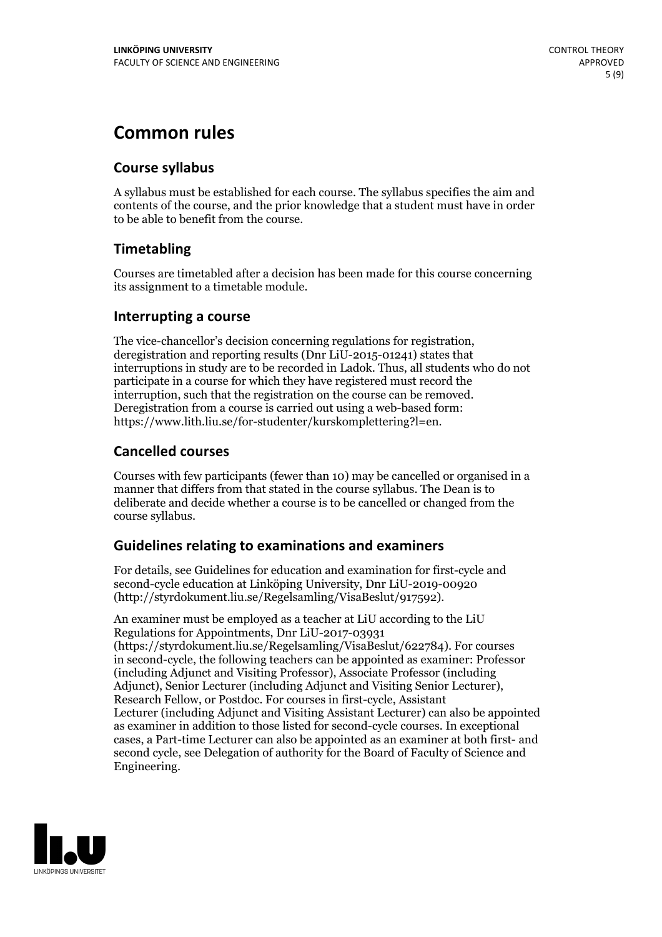## **Common rules**

#### **Course syllabus**

A syllabus must be established for each course. The syllabus specifies the aim and contents of the course, and the prior knowledge that a student must have in order to be able to benefit from the course.

### **Timetabling**

Courses are timetabled after a decision has been made for this course concerning its assignment to a timetable module.

#### **Interrupting a course**

The vice-chancellor's decision concerning regulations for registration, deregistration and reporting results (Dnr LiU-2015-01241) states that interruptions in study are to be recorded in Ladok. Thus, all students who do not participate in a course for which they have registered must record the interruption, such that the registration on the course can be removed. Deregistration from <sup>a</sup> course is carried outusing <sup>a</sup> web-based form: https://www.lith.liu.se/for-studenter/kurskomplettering?l=en.

### **Cancelled courses**

Courses with few participants (fewer than 10) may be cancelled or organised in a manner that differs from that stated in the course syllabus. The Dean is to deliberate and decide whether a course is to be cancelled or changed from the course syllabus.

### **Guidelines relatingto examinations and examiners**

For details, see Guidelines for education and examination for first-cycle and second-cycle education at Linköping University, Dnr LiU-2019-00920 (http://styrdokument.liu.se/Regelsamling/VisaBeslut/917592).

An examiner must be employed as a teacher at LiU according to the LiU Regulations for Appointments, Dnr LiU-2017-03931 (https://styrdokument.liu.se/Regelsamling/VisaBeslut/622784). For courses in second-cycle, the following teachers can be appointed as examiner: Professor (including Adjunct and Visiting Professor), Associate Professor (including Adjunct), Senior Lecturer (including Adjunct and Visiting Senior Lecturer), Research Fellow, or Postdoc. For courses in first-cycle, Assistant Lecturer (including Adjunct and Visiting Assistant Lecturer) can also be appointed as examiner in addition to those listed for second-cycle courses. In exceptional cases, a Part-time Lecturer can also be appointed as an examiner at both first- and second cycle, see Delegation of authority for the Board of Faculty of Science and Engineering.

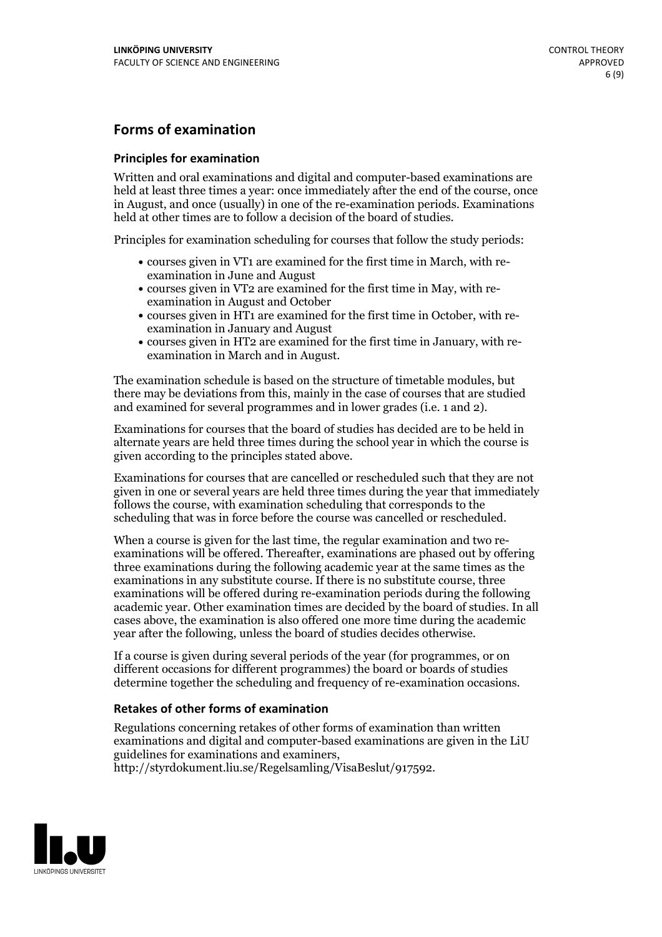### **Forms of examination**

#### **Principles for examination**

Written and oral examinations and digital and computer-based examinations are held at least three times a year: once immediately after the end of the course, once in August, and once (usually) in one of the re-examination periods. Examinations held at other times are to follow a decision of the board of studies.

Principles for examination scheduling for courses that follow the study periods:

- courses given in VT1 are examined for the first time in March, with re-examination in June and August
- courses given in VT2 are examined for the first time in May, with re-examination in August and October
- courses given in HT1 are examined for the first time in October, with re-examination in January and August
- courses given in HT2 are examined for the first time in January, with re-examination in March and in August.

The examination schedule is based on the structure of timetable modules, but there may be deviations from this, mainly in the case of courses that are studied and examined for several programmes and in lower grades (i.e. 1 and 2).

Examinations for courses that the board of studies has decided are to be held in alternate years are held three times during the school year in which the course is given according to the principles stated above.

Examinations for courses that are cancelled orrescheduled such that they are not given in one or several years are held three times during the year that immediately follows the course, with examination scheduling that corresponds to the scheduling that was in force before the course was cancelled or rescheduled.

When a course is given for the last time, the regular examination and two re-<br>examinations will be offered. Thereafter, examinations are phased out by offering three examinations during the following academic year at the same times as the examinations in any substitute course. If there is no substitute course, three examinations will be offered during re-examination periods during the following academic year. Other examination times are decided by the board of studies. In all cases above, the examination is also offered one more time during the academic year after the following, unless the board of studies decides otherwise.

If a course is given during several periods of the year (for programmes, or on different occasions for different programmes) the board or boards of studies determine together the scheduling and frequency of re-examination occasions.

#### **Retakes of other forms of examination**

Regulations concerning retakes of other forms of examination than written examinations and digital and computer-based examinations are given in the LiU guidelines for examinations and examiners, http://styrdokument.liu.se/Regelsamling/VisaBeslut/917592.

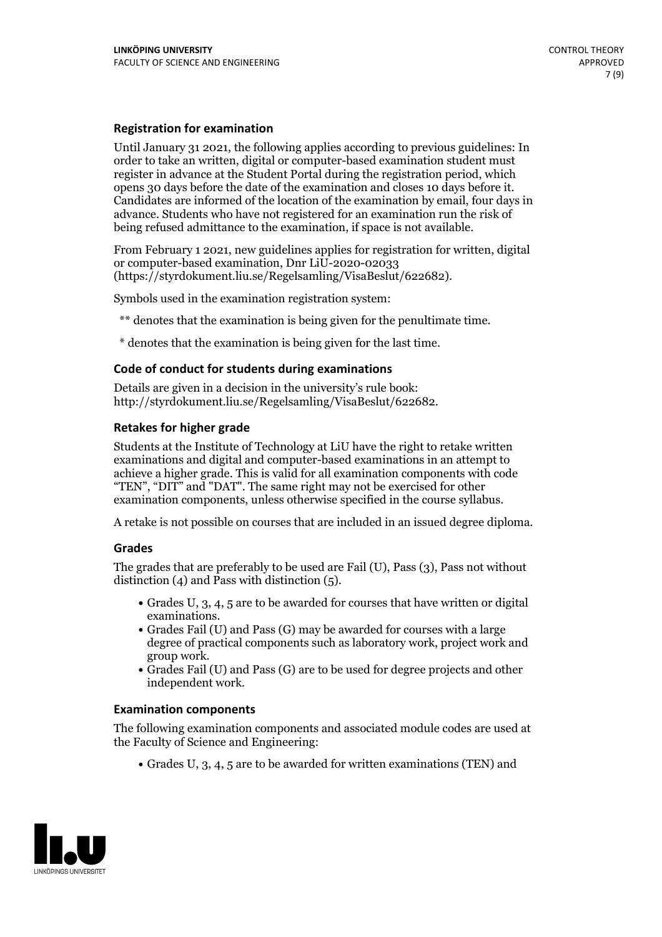#### **Registration for examination**

Until January 31 2021, the following applies according to previous guidelines: In order to take an written, digital or computer-based examination student must register in advance at the Student Portal during the registration period, which Candidates are informed of the location of the examination by email, four days in advance. Students who have not registered for an examination run the risk of being refused admittance to the examination, if space is not available.

From February 1 2021, new guidelines applies for registration for written, digital or computer-based examination, Dnr LiU-2020-02033 (https://styrdokument.liu.se/Regelsamling/VisaBeslut/622682).

Symbols used in the examination registration system:

\*\* denotes that the examination is being given for the penultimate time.

\* denotes that the examination is being given for the last time.

#### **Code of conduct for students during examinations**

Details are given in a decision in the university's rule book: http://styrdokument.liu.se/Regelsamling/VisaBeslut/622682.

#### **Retakes for higher grade**

Students at the Institute of Technology at LiU have the right to retake written examinations and digital and computer-based examinations in an attempt to achieve a higher grade. This is valid for all examination components with code "TEN", "DIT" and "DAT". The same right may not be exercised for other examination components, unless otherwise specified in the course syllabus.

A retake is not possible on courses that are included in an issued degree diploma.

#### **Grades**

The grades that are preferably to be used are Fail (U), Pass (3), Pass not without distinction  $(4)$  and Pass with distinction  $(5)$ .

- Grades U, 3, 4, 5 are to be awarded for courses that have written or digital
- examinations.<br>• Grades Fail (U) and Pass (G) may be awarded for courses with a large degree of practical components such as laboratory work, project work and
- $\bullet$  Grades Fail (U) and Pass (G) are to be used for degree projects and other independent work.

#### **Examination components**

The following examination components and associated module codes are used at the Faculty of Science and Engineering:

Grades U, 3, 4, 5 are to be awarded for written examinations (TEN) and

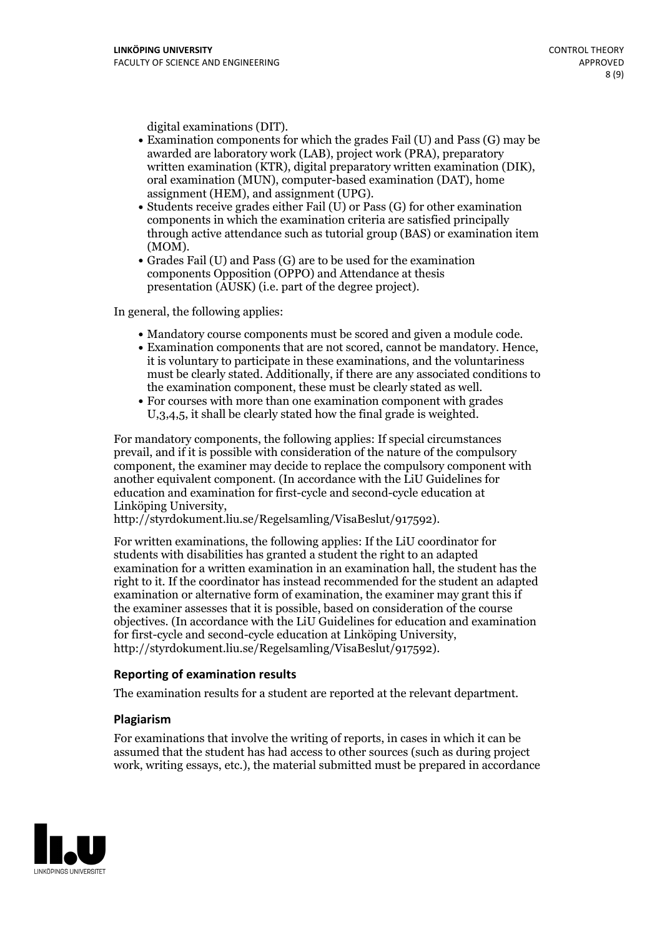- digital examinations (DIT).<br>• Examination components for which the grades Fail (U) and Pass (G) may be awarded are laboratory work (LAB), project work (PRA), preparatory written examination (KTR), digital preparatory written examination (DIK), oral examination (MUN), computer-based examination (DAT), home
- assignment (HEM), and assignment (UPG).<br>• Students receive grades either Fail (U) or Pass (G) for other examination components in which the examination criteria are satisfied principally through active attendance such as tutorial group (BAS) or examination item
- (MOM).<br>• Grades Fail (U) and Pass (G) are to be used for the examination components Opposition (OPPO) and Attendance at thesis presentation (AUSK) (i.e. part of the degree project).

In general, the following applies:

- 
- Mandatory course components must be scored and given <sup>a</sup> module code. Examination components that are not scored, cannot be mandatory. Hence, it is voluntary to participate in these examinations, and the voluntariness must be clearly stated. Additionally, if there are any associated conditions to the examination component, these must be clearly stated as well.<br>• For courses with more than one examination component with grades
- U,3,4,5, it shall be clearly stated how the final grade is weighted.

For mandatory components, the following applies: If special circumstances prevail, and if it is possible with consideration of the nature ofthe compulsory component, the examiner may decide to replace the compulsory component with another equivalent component. (In accordance with the LiU Guidelines for education and examination for first-cycle and second-cycle education at Linköping University, http://styrdokument.liu.se/Regelsamling/VisaBeslut/917592).

For written examinations, the following applies: If the LiU coordinator for students with disabilities has granted a student the right to an adapted examination for a written examination in an examination hall, the student has the right to it. If the coordinator has instead recommended for the student an adapted examination or alternative form of examination, the examiner may grant this if the examiner assesses that it is possible, based on consideration of the course objectives. (In accordance with the LiU Guidelines for education and examination for first-cycle and second-cycle education at Linköping University, http://styrdokument.liu.se/Regelsamling/VisaBeslut/917592).

#### **Reporting of examination results**

The examination results for a student are reported at the relevant department.

#### **Plagiarism**

For examinations that involve the writing of reports, in cases in which it can be assumed that the student has had access to other sources (such as during project work, writing essays, etc.), the material submitted must be prepared in accordance